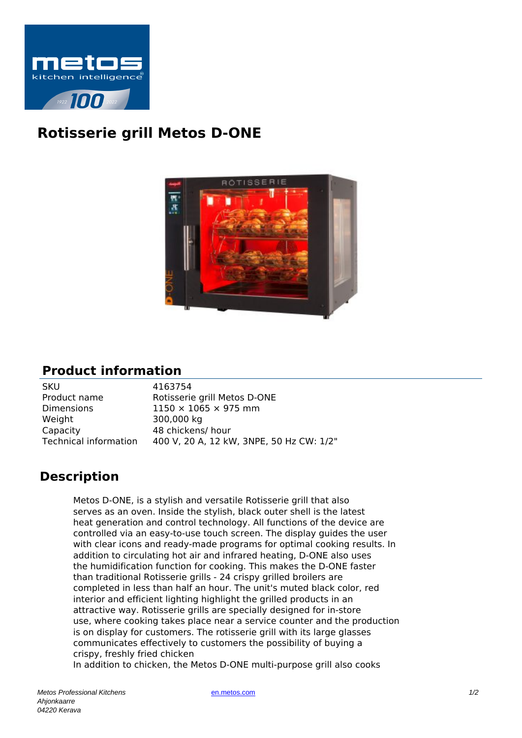

## **Rotisserie grill Metos D-ONE**



## **Product information**

| 4163754                                  |
|------------------------------------------|
| Rotisserie grill Metos D-ONE             |
| $1150 \times 1065 \times 975$ mm         |
| 300,000 kg                               |
| 48 chickens/ hour                        |
| 400 V, 20 A, 12 kW, 3NPE, 50 Hz CW: 1/2" |
|                                          |

## **Description**

Metos D-ONE, is a stylish and versatile Rotisserie grill that also serves as an oven. Inside the stylish, black outer shell is the latest heat generation and control technology. All functions of the device are controlled via an easy-to-use touch screen. The display guides the user with clear icons and ready-made programs for optimal cooking results. In addition to circulating hot air and infrared heating, D-ONE also uses the humidification function for cooking. This makes the D-ONE faster than traditional Rotisserie grills - 24 crispy grilled broilers are completed in less than half an hour. The unit's muted black color, red interior and efficient lighting highlight the grilled products in an attractive way. Rotisserie grills are specially designed for in-store use, where cooking takes place near a service counter and the production is on display for customers. The rotisserie grill with its large glasses communicates effectively to customers the possibility of buying a crispy, freshly fried chicken In addition to chicken, the Metos D-ONE multi-purpose grill also cooks